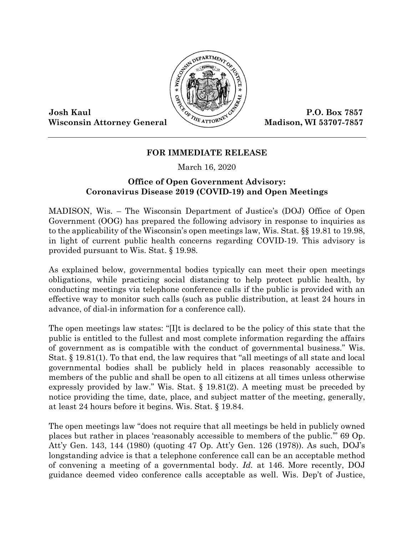

Wisconsin Attorney General Madison, WI 53707-7857

## **FOR IMMEDIATE RELEASE**

March 16, 2020

## **Office of Open Government Advisory: Coronavirus Disease 2019 (COVID-19) and Open Meetings**

MADISON, Wis. – The Wisconsin Department of Justice's (DOJ) Office of Open Government (OOG) has prepared the following advisory in response to inquiries as to the applicability of the Wisconsin's open meetings law, Wis. Stat. §§ 19.81 to 19.98, in light of current public health concerns regarding COVID-19. This advisory is provided pursuant to Wis. Stat. § 19.98.

As explained below, governmental bodies typically can meet their open meetings obligations, while practicing social distancing to help protect public health, by conducting meetings via telephone conference calls if the public is provided with an effective way to monitor such calls (such as public distribution, at least 24 hours in advance, of dial-in information for a conference call).

The open meetings law states: "[I]t is declared to be the policy of this state that the public is entitled to the fullest and most complete information regarding the affairs of government as is compatible with the conduct of governmental business." Wis. Stat. § 19.81(1). To that end, the law requires that "all meetings of all state and local governmental bodies shall be publicly held in places reasonably accessible to members of the public and shall be open to all citizens at all times unless otherwise expressly provided by law." Wis. Stat. § 19.81(2). A meeting must be preceded by notice providing the time, date, place, and subject matter of the meeting, generally, at least 24 hours before it begins. Wis. Stat. § 19.84.

The open meetings law "does not require that all meetings be held in publicly owned places but rather in places 'reasonably accessible to members of the public.'" 69 Op. Att'y Gen. 143, 144 (1980) (quoting 47 Op. Att'y Gen. 126 (1978)). As such, DOJ's longstanding advice is that a telephone conference call can be an acceptable method of convening a meeting of a governmental body. *Id.* at 146. More recently, DOJ guidance deemed video conference calls acceptable as well. Wis. Dep't of Justice,